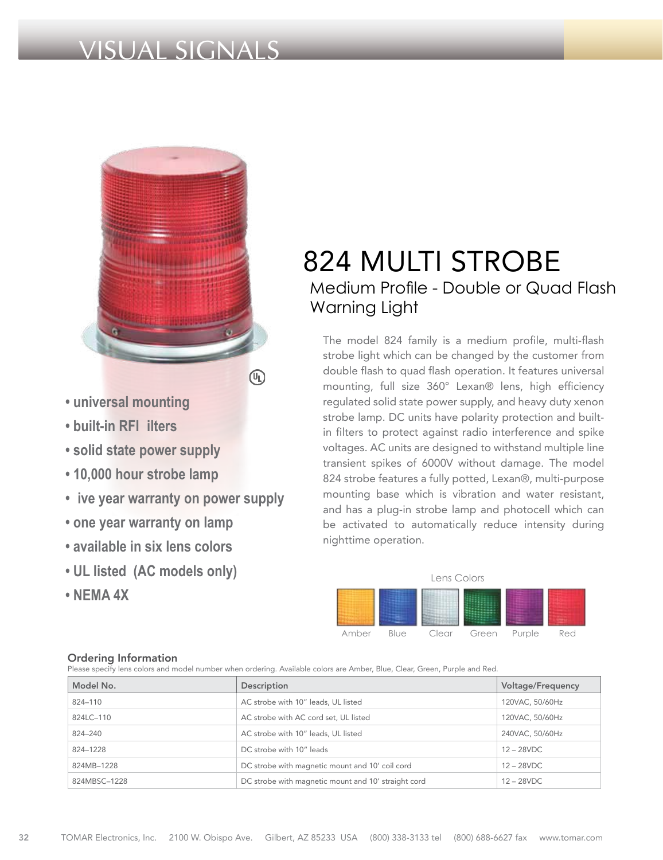# VISUAL SIGNALS



- **universal mounting**
- **built-in RFI ilters**
- **solid state power supply**
- **10,000 hour strobe lamp**
- **ive year warranty on power supply**
- **one year warranty on lamp**
- **available in six lens colors**
- **UL listed (AC models only)**
- **NEMA 4X**

# 824 MULTI STROBE Medium Profile - Double or Quad Flash Warning Light

The model 824 family is a medium profile, multi-flash strobe light which can be changed by the customer from double flash to quad flash operation. It features universal mounting, full size 360° Lexan® lens, high efficiency regulated solid state power supply, and heavy duty xenon strobe lamp. DC units have polarity protection and builtin filters to protect against radio interference and spike voltages. AC units are designed to withstand multiple line transient spikes of 6000V without damage. The model 824 strobe features a fully potted, Lexan®, multi-purpose mounting base which is vibration and water resistant, and has a plug-in strobe lamp and photocell which can be activated to automatically reduce intensity during nighttime operation.



### Ordering Information

Please specify lens colors and model number when ordering. Available colors are Amber, Blue, Clear, Green, Purple and Red.

| Model No.    | Description                                         | Voltage/Frequency |
|--------------|-----------------------------------------------------|-------------------|
| 824-110      | AC strobe with 10" leads, UL listed                 | 120VAC, 50/60Hz   |
| 824LC-110    | AC strobe with AC cord set, UL listed               | 120VAC, 50/60Hz   |
| 824-240      | AC strobe with 10" leads, UL listed                 | 240VAC, 50/60Hz   |
| 824-1228     | DC strobe with 10" leads                            | $12 - 28$ VDC     |
| 824MB-1228   | DC strobe with magnetic mount and 10' coil cord     | $12 - 28$ VDC     |
| 824MBSC-1228 | DC strobe with magnetic mount and 10' straight cord | $12 - 28$ VDC     |